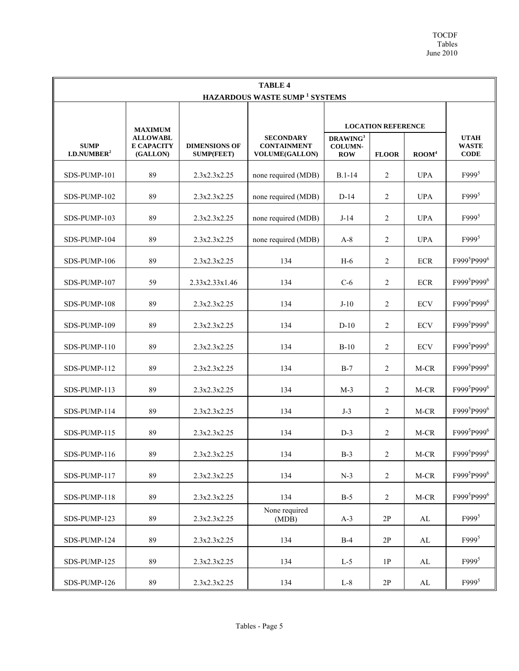| <b>TABLE 4</b>                                  |                                                  |                                           |                                                                 |                                                      |                |                |                                       |
|-------------------------------------------------|--------------------------------------------------|-------------------------------------------|-----------------------------------------------------------------|------------------------------------------------------|----------------|----------------|---------------------------------------|
| <b>HAZARDOUS WASTE SUMP<sup>1</sup> SYSTEMS</b> |                                                  |                                           |                                                                 |                                                      |                |                |                                       |
|                                                 | <b>MAXIMUM</b>                                   |                                           |                                                                 | <b>LOCATION REFERENCE</b>                            |                |                |                                       |
| <b>SUMP</b><br>I.D.NUMBER <sup>2</sup>          | <b>ALLOWABL</b><br><b>E CAPACITY</b><br>(GALLON) | <b>DIMENSIONS OF</b><br><b>SUMP(FEET)</b> | <b>SECONDARY</b><br><b>CONTAINMENT</b><br><b>VOLUME(GALLON)</b> | DRAWING <sup>3</sup><br><b>COLUMN-</b><br><b>ROW</b> | <b>FLOOR</b>   | $\text{ROM}^4$ | <b>UTAH</b><br><b>WASTE</b><br>$CODE$ |
| SDS-PUMP-101                                    | 89                                               | 2.3x2.3x2.25                              | none required (MDB)                                             | $B.1-14$                                             | 2              | <b>UPA</b>     | $F999^5$                              |
| SDS-PUMP-102                                    | 89                                               | 2.3x2.3x2.25                              | none required (MDB)                                             | $D-14$                                               | 2              | <b>UPA</b>     | $F999^5$                              |
| SDS-PUMP-103                                    | 89                                               | 2.3x2.3x2.25                              | none required (MDB)                                             | $J-14$                                               | 2              | <b>UPA</b>     | $F999^5$                              |
| SDS-PUMP-104                                    | 89                                               | 2.3x2.3x2.25                              | none required (MDB)                                             | $A-8$                                                | 2              | <b>UPA</b>     | $F999^5$                              |
| SDS-PUMP-106                                    | 89                                               | 2.3x2.3x2.25                              | 134                                                             | $H-6$                                                | 2              | <b>ECR</b>     | F999 <sup>5</sup> P999 <sup>6</sup>   |
| SDS-PUMP-107                                    | 59                                               | 2.33x2.33x1.46                            | 134                                                             | $C-6$                                                | $\overline{c}$ | ECR            | F999 <sup>5</sup> P999 <sup>6</sup>   |
| SDS-PUMP-108                                    | 89                                               | 2.3x2.3x2.25                              | 134                                                             | $J-10$                                               | $\overline{2}$ | <b>ECV</b>     | F999 <sup>5</sup> P999 <sup>6</sup>   |
| SDS-PUMP-109                                    | 89                                               | 2.3x2.3x2.25                              | 134                                                             | $D-10$                                               | $\overline{2}$ | <b>ECV</b>     | F999 <sup>5</sup> P999 <sup>6</sup>   |
| SDS-PUMP-110                                    | 89                                               | 2.3x2.3x2.25                              | 134                                                             | $B-10$                                               | 2              | <b>ECV</b>     | F999 <sup>5</sup> P999 <sup>6</sup>   |
| SDS-PUMP-112                                    | 89                                               | 2.3x2.3x2.25                              | 134                                                             | $B-7$                                                | 2              | M-CR           | F999 <sup>5</sup> P999 <sup>6</sup>   |
| SDS-PUMP-113                                    | 89                                               | 2.3x2.3x2.25                              | 134                                                             | $M-3$                                                | 2              | $M-CR$         | F999 <sup>5</sup> P999 <sup>6</sup>   |
| SDS-PUMP-114                                    | 89                                               | 2.3x2.3x2.25                              | 134                                                             | $J-3$                                                | 2              | M-CR           | F999 <sup>5</sup> P999 <sup>6</sup>   |
| SDS-PUMP-115                                    | 89                                               | 2.3x2.3x2.25                              | 134                                                             | $D-3$                                                | $\overline{2}$ | M-CR           | F999 <sup>5</sup> P999 <sup>6</sup>   |
| SDS-PUMP-116                                    | 89                                               | 2.3x2.3x2.25                              | 134                                                             | $B-3$                                                | 2              | $M-CR$         | F999 <sup>5</sup> P999 <sup>6</sup>   |
| SDS-PUMP-117                                    | 89                                               | 2.3x2.3x2.25                              | 134                                                             | $N-3$                                                | $\overline{2}$ | $M-CR$         | F999 <sup>5</sup> P999 <sup>6</sup>   |
| SDS-PUMP-118                                    | 89                                               | 2.3x2.3x2.25                              | 134                                                             | $B-5$                                                | $\overline{c}$ | $M-CR$         | F999 <sup>5</sup> P999 <sup>6</sup>   |
| SDS-PUMP-123                                    | 89                                               | 2.3x2.3x2.25                              | None required<br>(MDB)                                          | $A-3$                                                | $2\mathrm{P}$  | $\mathbf{AL}$  | F999 <sup>5</sup>                     |
| SDS-PUMP-124                                    | 89                                               | 2.3x2.3x2.25                              | 134                                                             | $B-4$                                                | $2\mathrm{P}$  | AL             | $F999^5$                              |
| SDS-PUMP-125                                    | 89                                               | 2.3x2.3x2.25                              | 134                                                             | $L-5$                                                | 1P             | AL             | $F999^5$                              |
| SDS-PUMP-126                                    | 89                                               | 2.3x2.3x2.25                              | 134                                                             | $L-8$                                                | $2\mathrm{P}$  | $\mathbf{AL}$  | $F999^5$                              |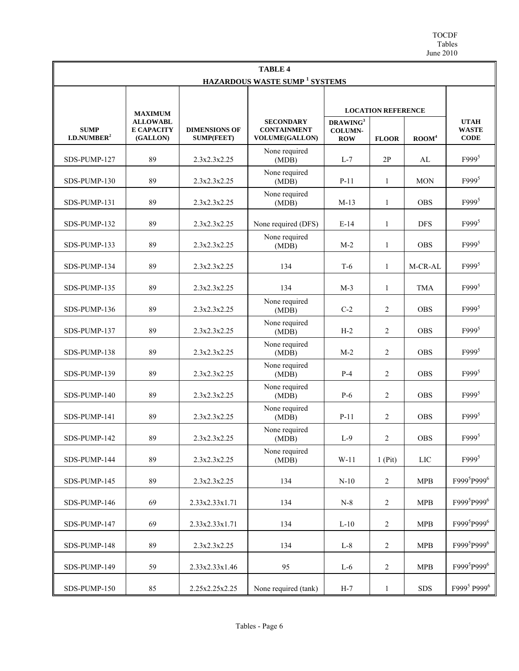TOCDF Tables June 2010

| <b>TABLE 4</b>                            |                                                  |                                           |                                                                 |                                                      |                |                |                                            |
|-------------------------------------------|--------------------------------------------------|-------------------------------------------|-----------------------------------------------------------------|------------------------------------------------------|----------------|----------------|--------------------------------------------|
| HAZARDOUS WASTE SUMP <sup>1</sup> SYSTEMS |                                                  |                                           |                                                                 |                                                      |                |                |                                            |
|                                           | <b>MAXIMUM</b>                                   |                                           |                                                                 | <b>LOCATION REFERENCE</b>                            |                |                |                                            |
| <b>SUMP</b><br>I.D. NUMBER <sup>2</sup>   | <b>ALLOWABL</b><br><b>E CAPACITY</b><br>(GALLON) | <b>DIMENSIONS OF</b><br><b>SUMP(FEET)</b> | <b>SECONDARY</b><br><b>CONTAINMENT</b><br><b>VOLUME(GALLON)</b> | DRAWING <sup>3</sup><br><b>COLUMN-</b><br><b>ROW</b> | <b>FLOOR</b>   | $\text{ROM}^4$ | <b>UTAH</b><br><b>WASTE</b><br><b>CODE</b> |
| SDS-PUMP-127                              | 89                                               | 2.3x2.3x2.25                              | None required<br>(MDB)                                          | $L-7$                                                | 2P             | AL             | $F999^5$                                   |
| SDS-PUMP-130                              | 89                                               | 2.3x2.3x2.25                              | None required<br>(MDB)                                          | $P-11$                                               | 1              | <b>MON</b>     | F999 <sup>5</sup>                          |
| SDS-PUMP-131                              | 89                                               | 2.3x2.3x2.25                              | None required<br>(MDB)                                          | $M-13$                                               | 1              | <b>OBS</b>     | $F999^5$                                   |
| SDS-PUMP-132                              | 89                                               | 2.3x2.3x2.25                              | None required (DFS)                                             | $E-14$                                               | 1              | <b>DFS</b>     | F999 <sup>5</sup>                          |
| SDS-PUMP-133                              | 89                                               | 2.3x2.3x2.25                              | None required<br>(MDB)                                          | $M-2$                                                | $\mathbf{1}$   | <b>OBS</b>     | $F999^5$                                   |
| SDS-PUMP-134                              | 89                                               | 2.3x2.3x2.25                              | 134                                                             | $T-6$                                                | $\mathbf{1}$   | M-CR-AL        | $F999^5$                                   |
| SDS-PUMP-135                              | 89                                               | 2.3x2.3x2.25                              | 134                                                             | $M-3$                                                | $\mathbf{1}$   | <b>TMA</b>     | $F999^5$                                   |
| SDS-PUMP-136                              | 89                                               | 2.3x2.3x2.25                              | None required<br>(MDB)                                          | $C-2$                                                | $\overline{2}$ | <b>OBS</b>     | $F999^5$                                   |
| SDS-PUMP-137                              | 89                                               | 2.3x2.3x2.25                              | None required<br>(MDB)                                          | $H-2$                                                | $\overline{2}$ | <b>OBS</b>     | $F999^5$                                   |
| SDS-PUMP-138                              | 89                                               | 2.3x2.3x2.25                              | None required<br>(MDB)                                          | $M-2$                                                | 2              | <b>OBS</b>     | $F999^5$                                   |
| SDS-PUMP-139                              | 89                                               | 2.3x2.3x2.25                              | None required<br>(MDB)                                          | $P-4$                                                | $\overline{2}$ | <b>OBS</b>     | $F999^5$                                   |
| SDS-PUMP-140                              | 89                                               | 2.3x2.3x2.25                              | None required<br>(MDB)                                          | $P-6$                                                | $\overline{2}$ | <b>OBS</b>     | $F999^5$                                   |
| SDS-PUMP-141                              | 89                                               | 2.3x2.3x2.25                              | None required<br>(MDB)                                          | $P-11$                                               | $\overline{2}$ | <b>OBS</b>     | $F999^5$                                   |
| SDS-PUMP-142                              | 89                                               | 2.3x2.3x2.25                              | None required<br>(MDB)                                          | $L-9$                                                | 2              | <b>OBS</b>     | $F999^5$                                   |
| SDS-PUMP-144                              | 89                                               | 2.3x2.3x2.25                              | None required<br>(MDB)                                          | $W-11$                                               | $1$ (Pit)      | $_{\rm LIC}$   | F999 <sup>5</sup>                          |
| SDS-PUMP-145                              | 89                                               | 2.3x2.3x2.25                              | 134                                                             | $N-10$                                               | $\overline{2}$ | <b>MPB</b>     | F999 <sup>5</sup> P999 <sup>6</sup>        |
| SDS-PUMP-146                              | 69                                               | 2.33x2.33x1.71                            | 134                                                             | $N-8$                                                | $\overline{2}$ | MPB            | F999 <sup>5</sup> P999 <sup>6</sup>        |
| SDS-PUMP-147                              | 69                                               | 2.33x2.33x1.71                            | 134                                                             | $L-10$                                               | 2              | <b>MPB</b>     | F999 <sup>5</sup> P999 <sup>6</sup>        |
| SDS-PUMP-148                              | 89                                               | 2.3x2.3x2.25                              | 134                                                             | $L-8$                                                | $\sqrt{2}$     | <b>MPB</b>     | F999 <sup>5</sup> P999 <sup>6</sup>        |
| SDS-PUMP-149                              | 59                                               | 2.33x2.33x1.46                            | 95                                                              | $L-6$                                                | $\sqrt{2}$     | <b>MPB</b>     | F999 <sup>5</sup> P999 <sup>6</sup>        |
| SDS-PUMP-150                              | 85                                               | 2.25x2.25x2.25                            | None required (tank)                                            | $H-7$                                                | $\mathbf{1}$   | <b>SDS</b>     | F999 <sup>5</sup> P999 <sup>6</sup>        |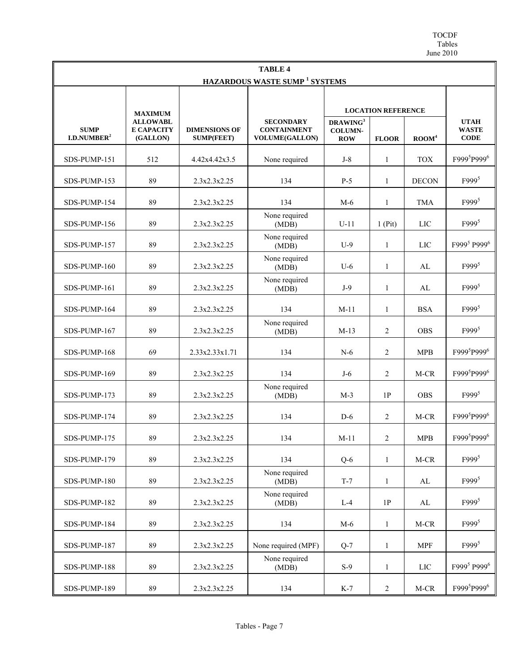TOCDF Tables June 2010

| <b>TABLE 4</b>                                  |                                                  |                                           |                                                                 |                                                      |                |                |                                            |
|-------------------------------------------------|--------------------------------------------------|-------------------------------------------|-----------------------------------------------------------------|------------------------------------------------------|----------------|----------------|--------------------------------------------|
| <b>HAZARDOUS WASTE SUMP<sup>1</sup> SYSTEMS</b> |                                                  |                                           |                                                                 |                                                      |                |                |                                            |
|                                                 | <b>MAXIMUM</b>                                   |                                           |                                                                 | <b>LOCATION REFERENCE</b>                            |                |                |                                            |
| <b>SUMP</b><br>I.D. NUMBER <sup>2</sup>         | <b>ALLOWABL</b><br><b>E CAPACITY</b><br>(GALLON) | <b>DIMENSIONS OF</b><br><b>SUMP(FEET)</b> | <b>SECONDARY</b><br><b>CONTAINMENT</b><br><b>VOLUME(GALLON)</b> | DRAWING <sup>3</sup><br><b>COLUMN-</b><br><b>ROW</b> | <b>FLOOR</b>   | $\text{ROM}^4$ | <b>UTAH</b><br><b>WASTE</b><br><b>CODE</b> |
| SDS-PUMP-151                                    | 512                                              | 4.42x4.42x3.5                             | None required                                                   | $J-8$                                                | $\mathbf{1}$   | <b>TOX</b>     | F999 <sup>5</sup> P999 <sup>6</sup>        |
| SDS-PUMP-153                                    | 89                                               | 2.3x2.3x2.25                              | 134                                                             | $P-5$                                                | 1              | <b>DECON</b>   | F999 <sup>5</sup>                          |
| SDS-PUMP-154                                    | 89                                               | 2.3x2.3x2.25                              | 134                                                             | $M-6$                                                | 1              | <b>TMA</b>     | $F999^5$                                   |
| SDS-PUMP-156                                    | 89                                               | 2.3x2.3x2.25                              | None required<br>(MDB)                                          | $U-11$                                               | $1$ (Pit)      | LIC            | F999 <sup>5</sup>                          |
| SDS-PUMP-157                                    | 89                                               | 2.3x2.3x2.25                              | None required<br>(MDB)                                          | $U-9$                                                | $\mathbf{1}$   | LIC            | F999 <sup>5</sup> P999 <sup>6</sup>        |
| SDS-PUMP-160                                    | 89                                               | 2.3x2.3x2.25                              | None required<br>(MDB)                                          | $U-6$                                                | $\mathbf{1}$   | AL             | F999 <sup>5</sup>                          |
| SDS-PUMP-161                                    | 89                                               | 2.3x2.3x2.25                              | None required<br>(MDB)                                          | $J-9$                                                | 1              | AL             | $F999^5$                                   |
| SDS-PUMP-164                                    | 89                                               | 2.3x2.3x2.25                              | 134                                                             | $M-11$                                               | $\mathbf{1}$   | <b>BSA</b>     | $F999^5$                                   |
| SDS-PUMP-167                                    | 89                                               | 2.3x2.3x2.25                              | None required<br>(MDB)                                          | $M-13$                                               | $\overline{2}$ | <b>OBS</b>     | $F999^5$                                   |
| SDS-PUMP-168                                    | 69                                               | 2.33x2.33x1.71                            | 134                                                             | $N-6$                                                | 2              | <b>MPB</b>     | F999 <sup>5</sup> P999 <sup>6</sup>        |
| SDS-PUMP-169                                    | 89                                               | 2.3x2.3x2.25                              | 134                                                             | $J-6$                                                | $\overline{2}$ | M-CR           | F999 <sup>5</sup> P999 <sup>6</sup>        |
| SDS-PUMP-173                                    | 89                                               | 2.3x2.3x2.25                              | None required<br>(MDB)                                          | $M-3$                                                | 1P             | <b>OBS</b>     | $F999^5$                                   |
| SDS-PUMP-174                                    | 89                                               | 2.3x2.3x2.25                              | 134                                                             | $D-6$                                                | 2              | M-CR           | F999 <sup>5</sup> P999 <sup>6</sup>        |
| SDS-PUMP-175                                    | 89                                               | 2.3x2.3x2.25                              | 134                                                             | $M-11$                                               | $\overline{2}$ | <b>MPB</b>     | F999 <sup>5</sup> P999 <sup>6</sup>        |
| SDS-PUMP-179                                    | 89                                               | 2.3x2.3x2.25                              | 134                                                             | $Q-6$                                                | $\mathbf{1}$   | M-CR           | $F999^5$                                   |
| SDS-PUMP-180                                    | 89                                               | 2.3x2.3x2.25                              | None required<br>(MDB)                                          | $T-7$                                                | $\mathbf{1}$   | AL             | $F999^5$                                   |
| SDS-PUMP-182                                    | 89                                               | 2.3x2.3x2.25                              | None required<br>(MDB)                                          | $L-4$                                                | 1P             | AL             | $F999^5$                                   |
| SDS-PUMP-184                                    | 89                                               | 2.3x2.3x2.25                              | 134                                                             | $M-6$                                                | $\mathbf{1}$   | M-CR           | $F999^5$                                   |
| SDS-PUMP-187                                    | 89                                               | 2.3x2.3x2.25                              | None required (MPF)                                             | $Q-7$                                                | $\mathbf{1}$   | <b>MPF</b>     | F999 <sup>5</sup>                          |
| SDS-PUMP-188                                    | 89                                               | 2.3x2.3x2.25                              | None required<br>(MDB)                                          | $S-9$                                                | $\mathbf{1}$   | LIC            | F999 <sup>5</sup> P999 <sup>6</sup>        |
| SDS-PUMP-189                                    | 89                                               | 2.3x2.3x2.25                              | 134                                                             | $K-7$                                                | $\overline{2}$ | M-CR           | F999 <sup>5</sup> P999 <sup>6</sup>        |